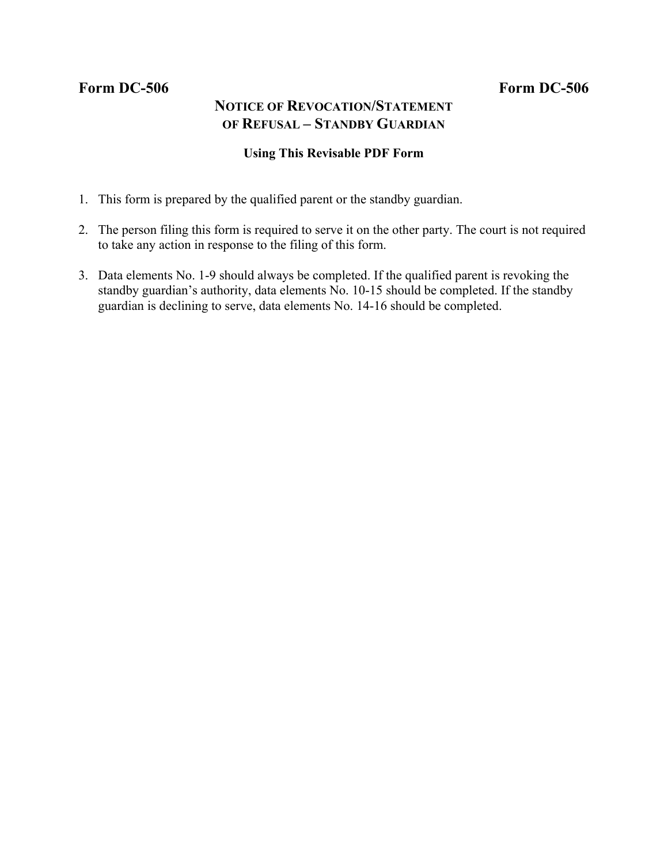## Form DC-506 Form DC-506

# **NOTICE OF REVOCATION/STATEMENT OF REFUSAL – STANDBY GUARDIAN**

### **Using This Revisable PDF Form**

- 1. This form is prepared by the qualified parent or the standby guardian.
- 2. The person filing this form is required to serve it on the other party. The court is not required to take any action in response to the filing of this form.
- 3. Data elements No. 1-9 should always be completed. If the qualified parent is revoking the standby guardian's authority, data elements No. 10-15 should be completed. If the standby guardian is declining to serve, data elements No. 14-16 should be completed.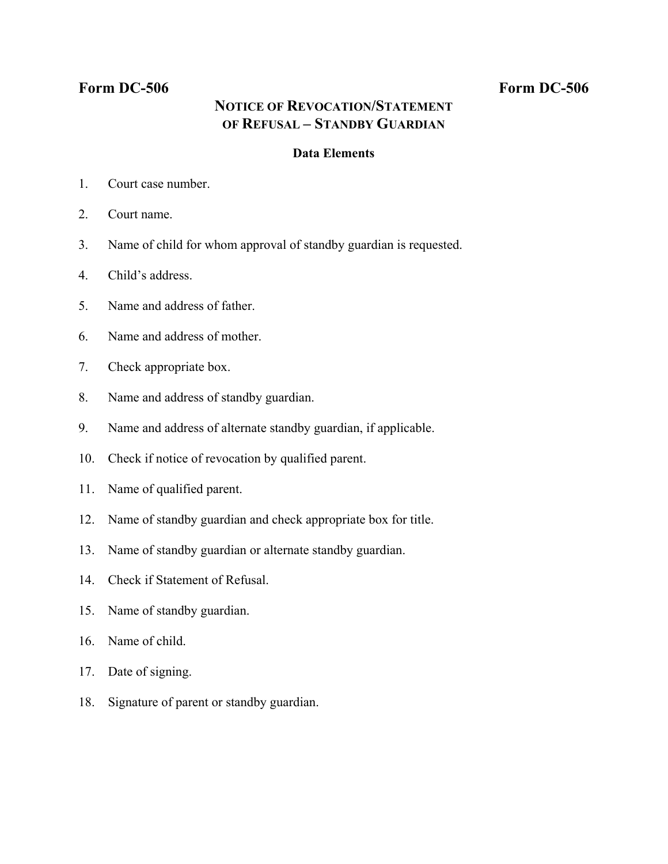## Form DC-506 Form DC-506

# **NOTICE OF REVOCATION/STATEMENT OF REFUSAL – STANDBY GUARDIAN**

### **Data Elements**

- 1. Court case number.
- 2. Court name.
- 3. Name of child for whom approval of standby guardian is requested.
- 4. Child's address.
- 5. Name and address of father.
- 6. Name and address of mother.
- 7. Check appropriate box.
- 8. Name and address of standby guardian.
- 9. Name and address of alternate standby guardian, if applicable.
- 10. Check if notice of revocation by qualified parent.
- 11. Name of qualified parent.
- 12. Name of standby guardian and check appropriate box for title.
- 13. Name of standby guardian or alternate standby guardian.
- 14. Check if Statement of Refusal.
- 15. Name of standby guardian.
- 16. Name of child.
- 17. Date of signing.
- 18. Signature of parent or standby guardian.